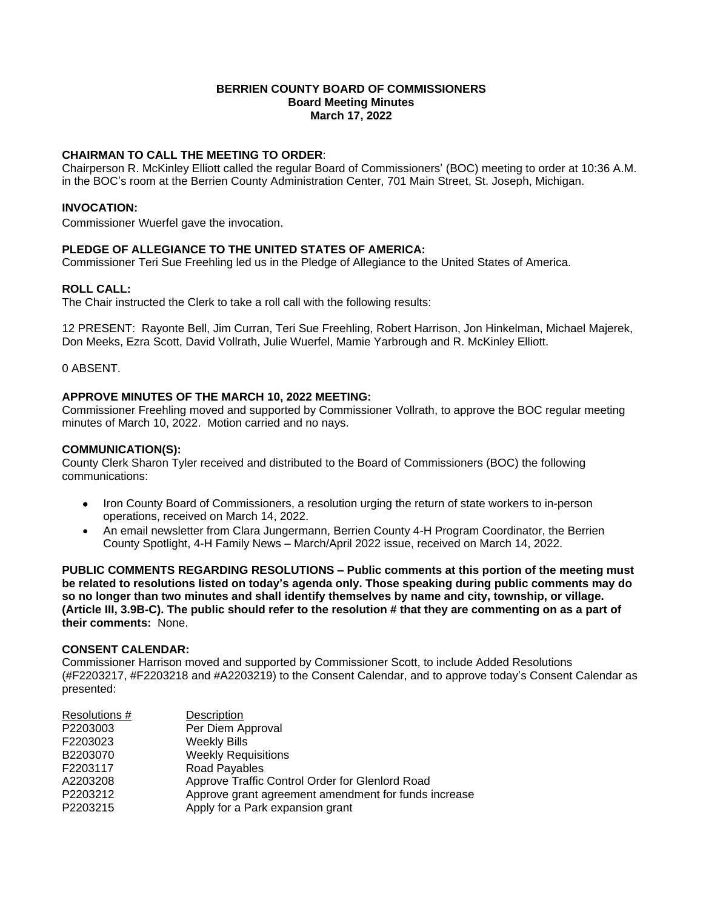# **BERRIEN COUNTY BOARD OF COMMISSIONERS Board Meeting Minutes March 17, 2022**

# **CHAIRMAN TO CALL THE MEETING TO ORDER**:

Chairperson R. McKinley Elliott called the regular Board of Commissioners' (BOC) meeting to order at 10:36 A.M. in the BOC's room at the Berrien County Administration Center, 701 Main Street, St. Joseph, Michigan.

## **INVOCATION:**

Commissioner Wuerfel gave the invocation.

# **PLEDGE OF ALLEGIANCE TO THE UNITED STATES OF AMERICA:**

Commissioner Teri Sue Freehling led us in the Pledge of Allegiance to the United States of America.

## **ROLL CALL:**

The Chair instructed the Clerk to take a roll call with the following results:

12 PRESENT: Rayonte Bell, Jim Curran, Teri Sue Freehling, Robert Harrison, Jon Hinkelman, Michael Majerek, Don Meeks, Ezra Scott, David Vollrath, Julie Wuerfel, Mamie Yarbrough and R. McKinley Elliott.

0 ABSENT.

## **APPROVE MINUTES OF THE MARCH 10, 2022 MEETING:**

Commissioner Freehling moved and supported by Commissioner Vollrath, to approve the BOC regular meeting minutes of March 10, 2022. Motion carried and no nays.

#### **COMMUNICATION(S):**

County Clerk Sharon Tyler received and distributed to the Board of Commissioners (BOC) the following communications:

- Iron County Board of Commissioners, a resolution urging the return of state workers to in-person operations, received on March 14, 2022.
- An email newsletter from Clara Jungermann, Berrien County 4-H Program Coordinator, the Berrien County Spotlight, 4-H Family News – March/April 2022 issue, received on March 14, 2022.

**PUBLIC COMMENTS REGARDING RESOLUTIONS – Public comments at this portion of the meeting must be related to resolutions listed on today's agenda only. Those speaking during public comments may do so no longer than two minutes and shall identify themselves by name and city, township, or village. (Article III, 3.9B-C). The public should refer to the resolution # that they are commenting on as a part of their comments:** None.

## **CONSENT CALENDAR:**

Commissioner Harrison moved and supported by Commissioner Scott, to include Added Resolutions (#F2203217, #F2203218 and #A2203219) to the Consent Calendar, and to approve today's Consent Calendar as presented:

| Resolutions # | <b>Description</b>                                   |
|---------------|------------------------------------------------------|
| P2203003      | Per Diem Approval                                    |
| F2203023      | <b>Weekly Bills</b>                                  |
| B2203070      | <b>Weekly Requisitions</b>                           |
| F2203117      | <b>Road Payables</b>                                 |
| A2203208      | Approve Traffic Control Order for Glenlord Road      |
| P2203212      | Approve grant agreement amendment for funds increase |
| P2203215      | Apply for a Park expansion grant                     |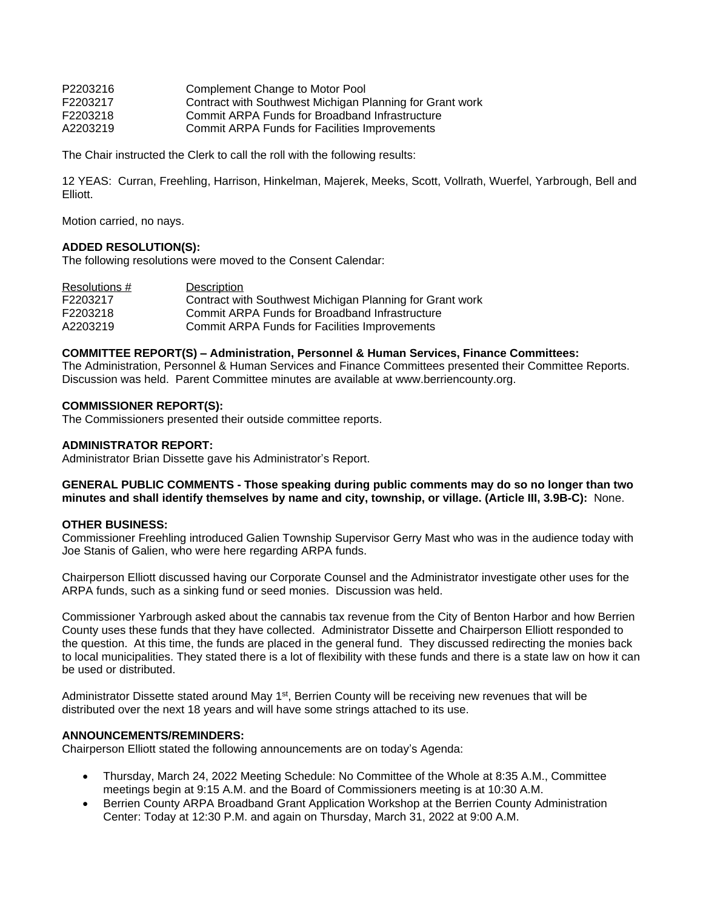| Complement Change to Motor Pool                          |
|----------------------------------------------------------|
| Contract with Southwest Michigan Planning for Grant work |
| Commit ARPA Funds for Broadband Infrastructure           |
| Commit ARPA Funds for Facilities Improvements            |
|                                                          |

The Chair instructed the Clerk to call the roll with the following results:

12 YEAS: Curran, Freehling, Harrison, Hinkelman, Majerek, Meeks, Scott, Vollrath, Wuerfel, Yarbrough, Bell and Elliott.

Motion carried, no nays.

## **ADDED RESOLUTION(S):**

The following resolutions were moved to the Consent Calendar:

| Resolutions # | Description                                              |
|---------------|----------------------------------------------------------|
| F2203217      | Contract with Southwest Michigan Planning for Grant work |
| F2203218      | Commit ARPA Funds for Broadband Infrastructure           |
| A2203219      | <b>Commit ARPA Funds for Facilities Improvements</b>     |

## **COMMITTEE REPORT(S) – Administration, Personnel & Human Services, Finance Committees:**

The Administration, Personnel & Human Services and Finance Committees presented their Committee Reports. Discussion was held. Parent Committee minutes are available at www.berriencounty.org.

#### **COMMISSIONER REPORT(S):**

The Commissioners presented their outside committee reports.

#### **ADMINISTRATOR REPORT:**

Administrator Brian Dissette gave his Administrator's Report.

**GENERAL PUBLIC COMMENTS - Those speaking during public comments may do so no longer than two minutes and shall identify themselves by name and city, township, or village. (Article III, 3.9B-C):** None.

## **OTHER BUSINESS:**

Commissioner Freehling introduced Galien Township Supervisor Gerry Mast who was in the audience today with Joe Stanis of Galien, who were here regarding ARPA funds.

Chairperson Elliott discussed having our Corporate Counsel and the Administrator investigate other uses for the ARPA funds, such as a sinking fund or seed monies. Discussion was held.

Commissioner Yarbrough asked about the cannabis tax revenue from the City of Benton Harbor and how Berrien County uses these funds that they have collected. Administrator Dissette and Chairperson Elliott responded to the question. At this time, the funds are placed in the general fund. They discussed redirecting the monies back to local municipalities. They stated there is a lot of flexibility with these funds and there is a state law on how it can be used or distributed.

Administrator Dissette stated around May 1<sup>st</sup>, Berrien County will be receiving new revenues that will be distributed over the next 18 years and will have some strings attached to its use.

## **ANNOUNCEMENTS/REMINDERS:**

Chairperson Elliott stated the following announcements are on today's Agenda:

- Thursday, March 24, 2022 Meeting Schedule: No Committee of the Whole at 8:35 A.M., Committee meetings begin at 9:15 A.M. and the Board of Commissioners meeting is at 10:30 A.M.
- Berrien County ARPA Broadband Grant Application Workshop at the Berrien County Administration Center: Today at 12:30 P.M. and again on Thursday, March 31, 2022 at 9:00 A.M.